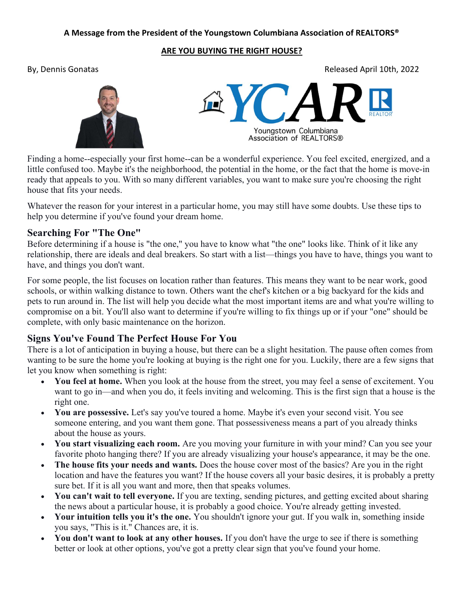#### A Message from the President of the Youngstown Columbiana Association of REALTORS®

#### ARE YOU BUYING THE RIGHT HOUSE?

By, Dennis Gonatas Released April 10th, 2022



Youngstown Columbiana Association of REALTORS®

Finding a home--especially your first home--can be a wonderful experience. You feel excited, energized, and a little confused too. Maybe it's the neighborhood, the potential in the home, or the fact that the home is move-in ready that appeals to you. With so many different variables, you want to make sure you're choosing the right house that fits your needs.

Whatever the reason for your interest in a particular home, you may still have some doubts. Use these tips to help you determine if you've found your dream home.

### Searching For "The One"

Before determining if a house is "the one," you have to know what "the one" looks like. Think of it like any relationship, there are ideals and deal breakers. So start with a list—things you have to have, things you want to have, and things you don't want.

For some people, the list focuses on location rather than features. This means they want to be near work, good schools, or within walking distance to town. Others want the chef's kitchen or a big backyard for the kids and pets to run around in. The list will help you decide what the most important items are and what you're willing to compromise on a bit. You'll also want to determine if you're willing to fix things up or if your "one" should be complete, with only basic maintenance on the horizon.

## Signs You've Found The Perfect House For You

There is a lot of anticipation in buying a house, but there can be a slight hesitation. The pause often comes from wanting to be sure the home you're looking at buying is the right one for you. Luckily, there are a few signs that let you know when something is right:

- You feel at home. When you look at the house from the street, you may feel a sense of excitement. You want to go in—and when you do, it feels inviting and welcoming. This is the first sign that a house is the right one.
- You are possessive. Let's say you've toured a home. Maybe it's even your second visit. You see someone entering, and you want them gone. That possessiveness means a part of you already thinks about the house as yours.
- You start visualizing each room. Are you moving your furniture in with your mind? Can you see your favorite photo hanging there? If you are already visualizing your house's appearance, it may be the one.
- The house fits your needs and wants. Does the house cover most of the basics? Are you in the right location and have the features you want? If the house covers all your basic desires, it is probably a pretty sure bet. If it is all you want and more, then that speaks volumes.
- You can't wait to tell everyone. If you are texting, sending pictures, and getting excited about sharing the news about a particular house, it is probably a good choice. You're already getting invested.
- Your intuition tells you it's the one. You shouldn't ignore your gut. If you walk in, something inside you says, "This is it." Chances are, it is.
- You don't want to look at any other houses. If you don't have the urge to see if there is something better or look at other options, you've got a pretty clear sign that you've found your home.